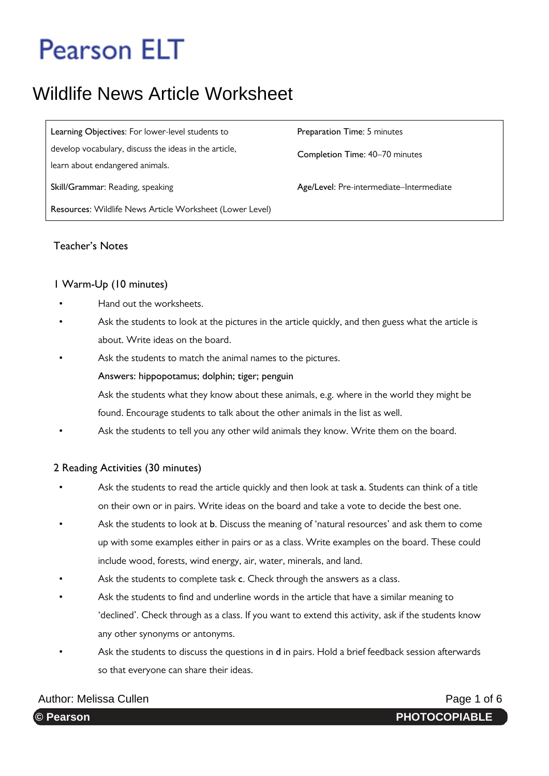### Wildlife News Article Worksheet

**Learning Objectives**: For lower-level students to **Preparation Time**: 5 minutes develop vocabulary, discuss the ideas in the article, learn about endangered animals. **Skill/Grammar**: Reading, speaking **Age/Level**: Pre-intermediate–Intermediate **Resources**: Wildlife News Article Worksheet (Lower Level)

**Completion Time**: 40–70 minutes

### **Teacher's Notes**

#### **1 Warm-Up (10 minutes)**

- Hand out the worksheets.
- Ask the students to look at the pictures in the article quickly, and then guess what the article is about. Write ideas on the board.
- Ask the students to match the animal names to the pictures.

#### **Answers: hippopotamus; dolphin; tiger; penguin**

 Ask the students what they know about these animals, e.g. where in the world they might be found. Encourage students to talk about the other animals in the list as well.

Ask the students to tell you any other wild animals they know. Write them on the board.

#### **2 Reading Activities (30 minutes)**

- Ask the students to read the article quickly and then look at task **a**. Students can think of a title on their own or in pairs. Write ideas on the board and take a vote to decide the best one.
- Ask the students to look at **b**. Discuss the meaning of 'natural resources' and ask them to come up with some examples either in pairs or as a class. Write examples on the board. These could include wood, forests, wind energy, air, water, minerals, and land.
- Ask the students to complete task **c**. Check through the answers as a class.
- Ask the students to find and underline words in the article that have a similar meaning to 'declined'. Check through as a class. If you want to extend this activity, ask if the students know any other synonyms or antonyms.
- Ask the students to discuss the questions in **d** in pairs. Hold a brief feedback session afterwards so that everyone can share their ideas.

### Author: Melissa Cullen **Page 1 of 6** Author: Melissa Cullen

r: Katie Jones. **© Pearson PHOTOCOPIABLE**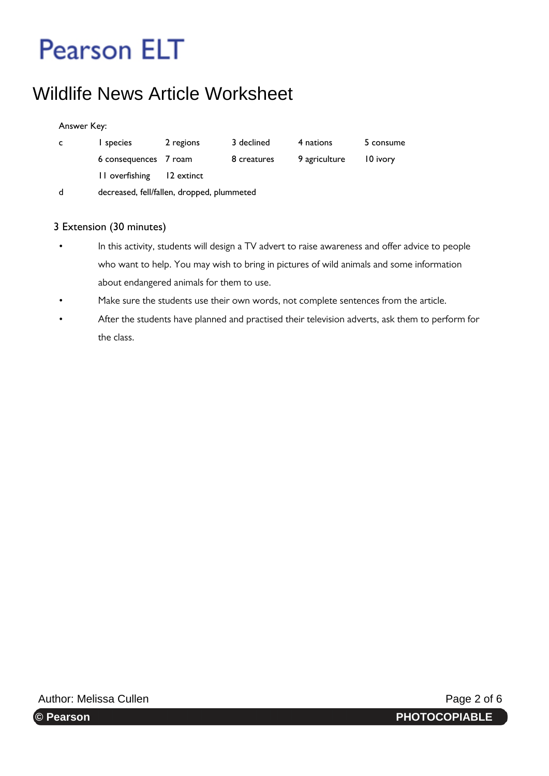## Wildlife News Article Worksheet

#### **Answer Key:**

| $\mathsf{C}$ | I species                                  | 2 regions | 3 declined  | 4 nations     | 5 consume |
|--------------|--------------------------------------------|-----------|-------------|---------------|-----------|
|              | 6 consequences 7 roam                      |           | 8 creatures | 9 agriculture | 10 ivory  |
|              | II overfishing I2 extinct                  |           |             |               |           |
| d            | decreased, fell/fallen, dropped, plummeted |           |             |               |           |

### **3 Extension (30 minutes)**

- In this activity, students will design a TV advert to raise awareness and offer advice to people who want to help. You may wish to bring in pictures of wild animals and some information about endangered animals for them to use.
- Make sure the students use their own words, not complete sentences from the article.
- After the students have planned and practised their television adverts, ask them to perform for the class.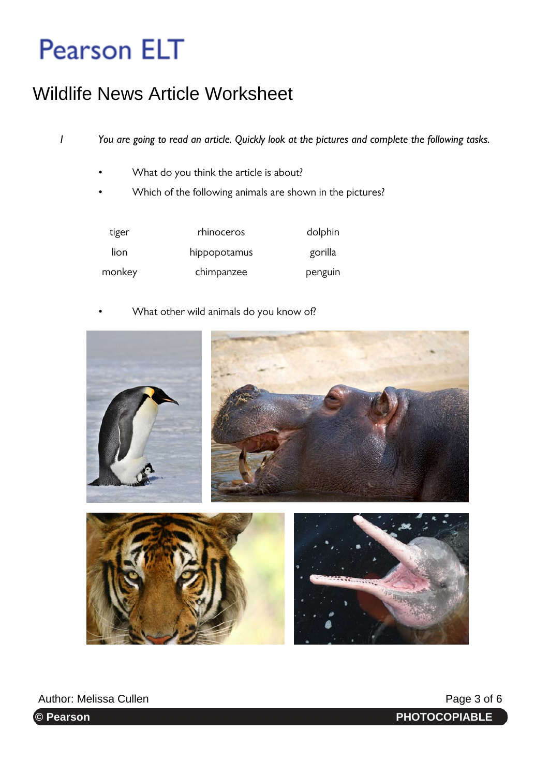## Wildlife News Article Worksheet

*1 You are going to read an article. Quickly look at the pictures and complete the following tasks.* 

- What do you think the article is about?
- Which of the following animals are shown in the pictures?

| tiger  | rhinoceros   | dolphin |
|--------|--------------|---------|
| lion   | hippopotamus | gorilla |
| monkey | chimpanzee   | penguin |

• What other wild animals do you know of?



Author: Melissa Cullen **Page 3 of 6** Author: Melissa Cullen @ Pearson

**PHOTOCOPIABLE**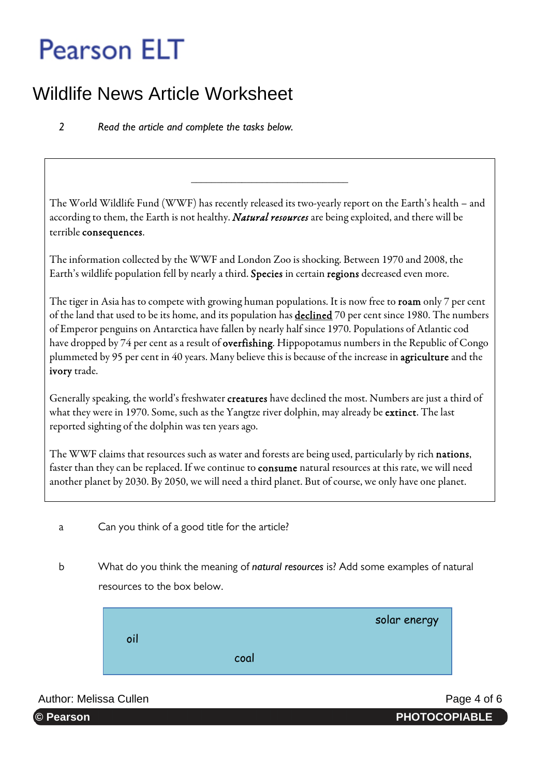## Wildlife News Article Worksheet

*2 Read the article and complete the tasks below.* 

The World Wildlife Fund (WWF) has recently released its two-yearly report on the Earth's health – and according to them, the Earth is not healthy. *Natural resources* are being exploited, and there will be terrible consequences.

**\_\_\_\_\_\_\_\_\_\_\_\_\_\_\_\_\_\_\_\_\_\_\_\_\_\_\_\_\_\_\_** 

The information collected by the WWF and London Zoo is shocking. Between 1970 and 2008, the Earth's wildlife population fell by nearly a third. Species in certain regions decreased even more.

The tiger in Asia has to compete with growing human populations. It is now free to **roam** only  $7$  per cent of the land that used to be its home, and its population has **<u>declined</u>** 70 per cent since 1980. The numbers of Emperor penguins on Antarctica have fallen by nearly half since 1970. Populations of Atlantic cod have dropped by 74 per cent as a result of **overfishing**. Hippopotamus numbers in the Republic of Congo plummeted by 95 per cent in 40 years. Many believe this is because of the increase in agriculture and the ivory trade.

Generally speaking, the world's freshwater creatures have declined the most. Numbers are just a third of what they were in 1970. Some, such as the Yangtze river dolphin, may already be **extinct**. The last reported sighting of the dolphin was ten years ago.

The WWF claims that resources such as water and forests are being used, particularly by rich nations, faster than they can be replaced. If we continue to **consume** natural resources at this rate, we will need another planet by 2030. By 2050, we will need a third planet. But of course, we only have one planet.

- a Can you think of a good title for the article?
- b What do you think the meaning of *natural resources* is? Add some examples of natural resources to the box below.

solar energy oil coal

### Author: Melissa Cullen **Page 4 of 6** Author: Melissa Cullen

<sup>(</sup>© Pearson

**PHOTOCOPIABLE**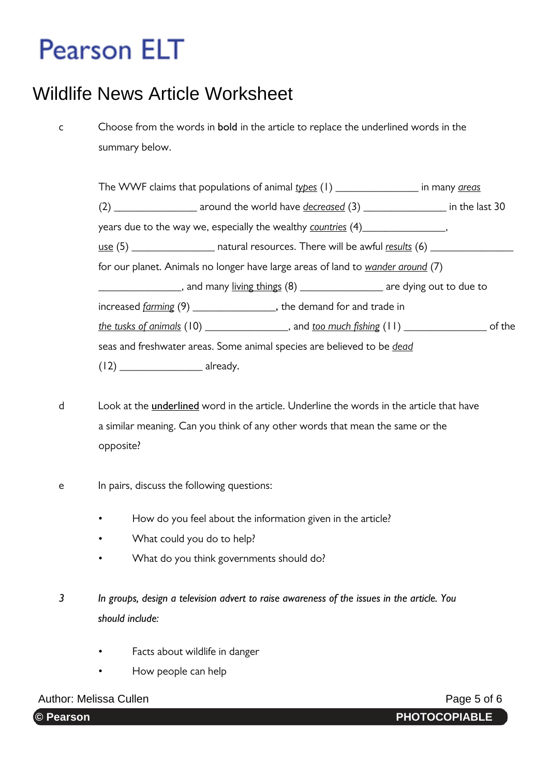### Wildlife News Article Worksheet

c Choose from the words in **bold** in the article to replace the underlined words in the summary below.

The WWF claims that populations of animal *types* (1) \_\_\_\_\_\_\_\_\_\_\_\_\_\_\_ in many *areas* (2) \_\_\_\_\_\_\_\_\_\_\_\_\_\_\_ around the world have *decreased* (3) \_\_\_\_\_\_\_\_\_\_\_\_\_\_\_ in the last 30 years due to the way we, especially the wealthy *countries* (4) use (5) \_\_\_\_\_\_\_\_\_\_\_\_\_\_\_\_\_\_\_\_ natural resources. There will be awful *results* (6) \_\_\_\_\_ for our planet. Animals no longer have large areas of land to *wander around* (7) and many living things (8) \_\_\_\_\_\_\_\_\_\_\_\_\_\_\_\_\_ are dying out to due to increased *farming* (9) \_\_\_\_\_\_\_\_\_\_\_\_\_\_\_**,** the demand for and trade in *the tusks of animals* (10) \_\_\_\_\_\_\_\_\_\_\_\_\_\_\_, and *too much fishing* (11) \_\_\_\_\_\_\_\_\_\_\_\_\_\_\_ of the seas and freshwater areas. Some animal species are believed to be *dead* (12) \_\_\_\_\_\_\_\_\_\_\_\_\_\_\_ already**.**

- d Look at the **underlined** word in the article. Underline the words in the article that have a similar meaning. Can you think of any other words that mean the same or the opposite?
- e In pairs, discuss the following questions:
	- How do you feel about the information given in the article?
	- What could you do to help?
	- What do you think governments should do?
- *3 In groups, design a television advert to raise awareness of the issues in the article. You should include:* 
	- Facts about wildlife in danger
	- How people can help

Author: Melissa Cullen **Page 5 of 6** Author: Melissa Cullen